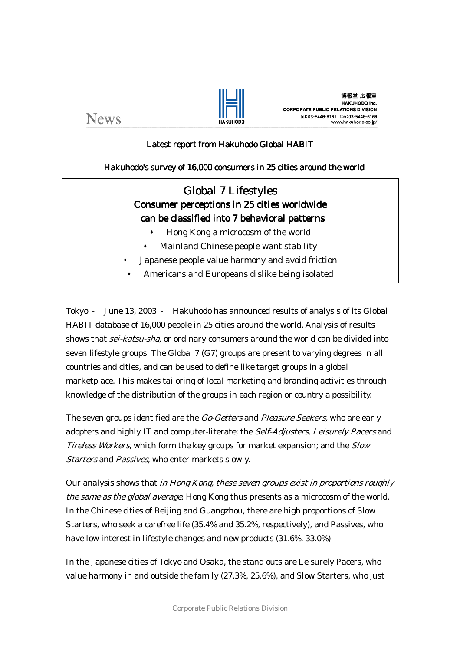



## Latest report from Hakuhodo Global HABIT

## Hakuhodo's survey of 16,000 consumers in 25 cities around the world

# Global 7 Lifestyles Consumer perceptions in 25 cities worldwide can be classified into 7 behavioral patterns

- Hong Kong a microcosm of the world
- Mainland Chinese people want stability
- Japanese people value harmony and avoid friction
- Americans and Europeans dislike being isolated

Tokyo June 13, 2003 Hakuhodo has announced results of analysis of its Global HABIT database of 16,000 people in 25 cities around the world. Analysis of results shows that *sei-katsu-sha*, or ordinary consumers around the world can be divided into seven lifestyle groups. The Global 7 (G7) groups are present to varying degrees in all countries and cities, and can be used to define like target groups in a global marketplace. This makes tailoring of local marketing and branding activities through knowledge of the distribution of the groups in each region or country a possibility.

The seven groups identified are the *Go-Getters* and *Pleasure Seekers*, who are early adopters and highly IT and computer-literate; the *Self-Adjusters, Leisurely Pacers* and Tireless Workers, which form the key groups for market expansion; and the Slow Starters and Passives, who enter markets slowly.

Our analysis shows that in Hong Kong, these seven groups exist in proportions roughly the same as the global average. Hong Kong thus presents as a microcosm of the world. In the Chinese cities of Beijing and Guangzhou, there are high proportions of Slow Starters, who seek a carefree life (35.4% and 35.2%, respectively), and Passives, who have low interest in lifestyle changes and new products (31.6%, 33.0%).

In the Japanese cities of Tokyo and Osaka, the stand outs are Leisurely Pacers, who value harmony in and outside the family (27.3%, 25.6%), and Slow Starters, who just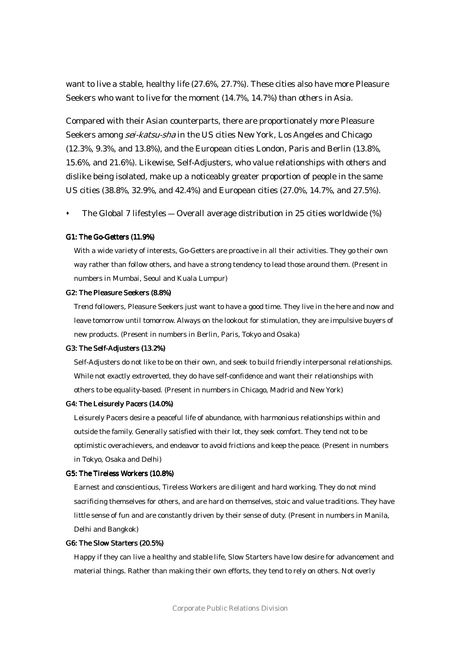want to live a stable, healthy life (27.6%, 27.7%). These cities also have more Pleasure Seekers who want to live for the moment (14.7%, 14.7%) than others in Asia.

Compared with their Asian counterparts, there are proportionately more Pleasure Seekers among *sei-katsu-sha* in the US cities New York, Los Angeles and Chicago (12.3%, 9.3%, and 13.8%), and the European cities London, Paris and Berlin (13.8%, 15.6%, and 21.6%). Likewise, Self-Adjusters, who value relationships with others and dislike being isolated, make up a noticeably greater proportion of people in the same US cities (38.8%, 32.9%, and 42.4%) and European cities (27.0%, 14.7%, and 27.5%).

The Global 7 lifestyles ― Overall average distribution in 25 cities worldwide (%)

#### G1: The Go-Getters (11.9%)

With a wide variety of interests, Go-Getters are proactive in all their activities. They go their own way rather than follow others, and have a strong tendency to lead those around them. (Present in numbers in Mumbai, Seoul and Kuala Lumpur)

#### G2: The Pleasure Seekers (8.8%)

Trend followers, Pleasure Seekers just want to have a good time. They live in the here and now and leave tomorrow until tomorrow. Always on the lookout for stimulation, they are impulsive buyers of new products. (Present in numbers in Berlin, Paris, Tokyo and Osaka)

#### G3: The Self-Adjusters (13.2%)

Self-Adjusters do not like to be on their own, and seek to build friendly interpersonal relationships. While not exactly extroverted, they do have self-confidence and want their relationships with others to be equality-based. (Present in numbers in Chicago, Madrid and New York)

#### G4: The Leisurely Pacers (14.0%)

Leisurely Pacers desire a peaceful life of abundance, with harmonious relationships within and outside the family. Generally satisfied with their lot, they seek comfort. They tend not to be optimistic overachievers, and endeavor to avoid frictions and keep the peace. (Present in numbers in Tokyo, Osaka and Delhi)

#### G5: The Tireless Workers (10.8%)

Earnest and conscientious, Tireless Workers are diligent and hard working. They do not mind sacrificing themselves for others, and are hard on themselves, stoic and value traditions. They have little sense of fun and are constantly driven by their sense of duty. (Present in numbers in Manila, Delhi and Bangkok)

#### G6: The Slow Starters (20.5%)

Happy if they can live a healthy and stable life, Slow Starters have low desire for advancement and material things. Rather than making their own efforts, they tend to rely on others. Not overly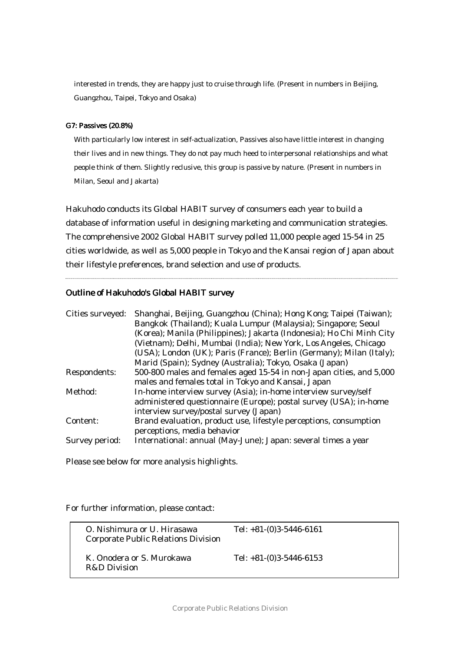interested in trends, they are happy just to cruise through life. (Present in numbers in Beijing, Guangzhou, Taipei, Tokyo and Osaka)

#### G7: Passives (20.8%) (20.8%)

With particularly low interest in self-actualization, Passives also have little interest in changing their lives and in new things. They do not pay much heed to interpersonal relationships and what people think of them. Slightly reclusive, this group is passive by nature. (Present in numbers in Milan, Seoul and Jakarta)

Hakuhodo conducts its Global HABIT survey of consumers each year to build a database of information useful in designing marketing and communication strategies. The comprehensive 2002 Global HABIT survey polled 11,000 people aged 15-54 in 25 cities worldwide, as well as 5,000 people in Tokyo and the Kansai region of Japan about their lifestyle preferences, brand selection and use of products.

### Outline of Hakuhodo's Global HABIT survey

| Cities surveyed: | Shanghai, Beijing, Guangzhou (China); Hong Kong; Taipei (Taiwan);<br>Bangkok (Thailand); Kuala Lumpur (Malaysia); Singapore; Seoul<br>(Korea); Manila (Philippines); Jakarta (Indonesia); Ho Chi Minh City<br>(Vietnam); Delhi, Mumbai (India); New York, Los Angeles, Chicago<br>(USA); London (UK); Paris (France); Berlin (Germany); Milan (Italy); |
|------------------|--------------------------------------------------------------------------------------------------------------------------------------------------------------------------------------------------------------------------------------------------------------------------------------------------------------------------------------------------------|
|                  | Marid (Spain); Sydney (Australia); Tokyo, Osaka (Japan)                                                                                                                                                                                                                                                                                                |
| Respondents:     | 500-800 males and females aged 15-54 in non-Japan cities, and 5,000                                                                                                                                                                                                                                                                                    |
|                  | males and females total in Tokyo and Kansai, Japan                                                                                                                                                                                                                                                                                                     |
| Method:          | In-home interview survey (Asia); in-home interview survey/self                                                                                                                                                                                                                                                                                         |
|                  | administered questionnaire (Europe); postal survey (USA); in-home                                                                                                                                                                                                                                                                                      |
|                  | interview survey/postal survey (Japan)                                                                                                                                                                                                                                                                                                                 |
| Content:         | Brand evaluation, product use, lifestyle perceptions, consumption<br>perceptions, media behavior                                                                                                                                                                                                                                                       |
| Survey period:   | International: annual (May-June); Japan: several times a year                                                                                                                                                                                                                                                                                          |

Please see below for more analysis highlights.

For further information, please contact:

| O. Nishimura or U. Hirasawa<br>Corporate Public Relations Division | Tel: $+81-(0)3-5446-6161$ |
|--------------------------------------------------------------------|---------------------------|
| K. Onodera or S. Murokawa<br>R&D Division                          | Tel: $+81-(0)3-5446-6153$ |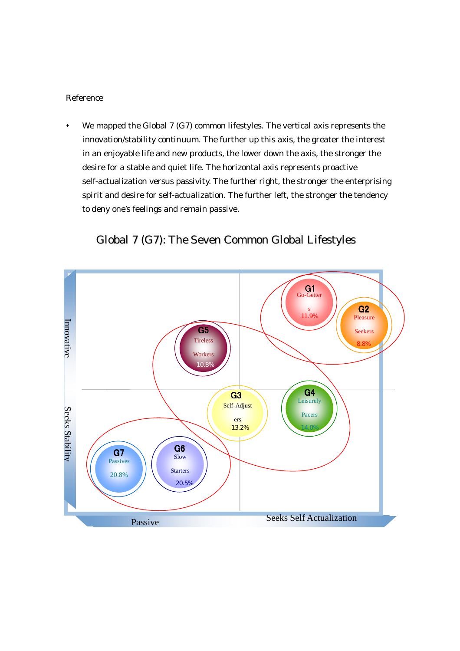## Reference

We mapped the Global 7 (G7) common lifestyles. The vertical axis represents the innovation/stability continuum. The further up this axis, the greater the interest in an enjoyable life and new products, the lower down the axis, the stronger the desire for a stable and quiet life. The horizontal axis represents proactive self-actualization versus passivity. The further right, the stronger the enterprising spirit and desire for self-actualization. The further left, the stronger the tendency to deny one's feelings and remain passive.



# Global 7 (G7): The Seven Common Global Lifestyles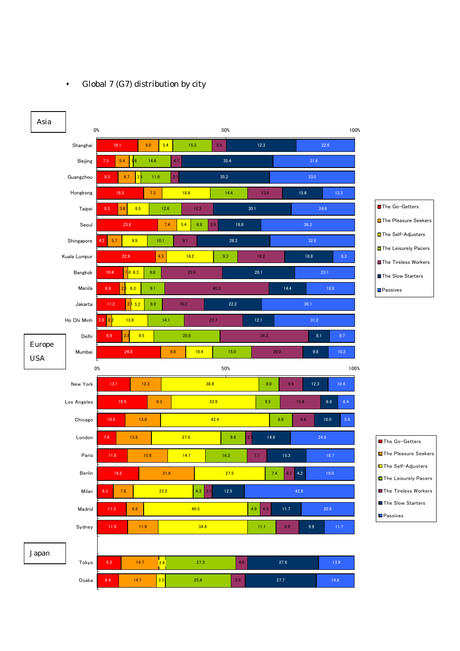

## Global 7 (G7) distribution by city